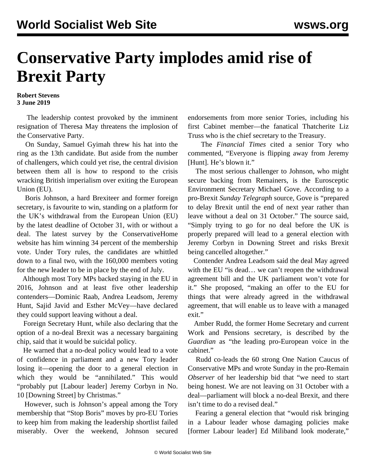## **Conservative Party implodes amid rise of Brexit Party**

## **Robert Stevens 3 June 2019**

 The leadership contest provoked by the imminent resignation of Theresa May threatens the implosion of the Conservative Party.

 On Sunday, Samuel Gyimah threw his hat into the ring as the 13th candidate. But aside from the number of challengers, which could yet rise, the central division between them all is how to respond to the crisis wracking British imperialism over exiting the European Union (EU).

 Boris Johnson, a hard Brexiteer and former foreign secretary, is favourite to win, standing on a platform for the UK's withdrawal from the European Union (EU) by the latest deadline of October 31, with or without a deal. The latest survey by the ConservativeHome website has him winning 34 percent of the membership vote. Under Tory rules, the candidates are whittled down to a final two, with the 160,000 members voting for the new leader to be in place by the end of July.

 Although most Tory MPs backed staying in the EU in 2016, Johnson and at least five other leadership contenders—Dominic Raab, Andrea Leadsom, Jeremy Hunt, Sajid Javid and Esther McVey—have declared they could support leaving without a deal.

 Foreign Secretary Hunt, while also declaring that the option of a no-deal Brexit was a necessary bargaining chip, said that it would be suicidal policy.

 He warned that a no-deal policy would lead to a vote of confidence in parliament and a new Tory leader losing it—opening the door to a general election in which they would be "annihilated." This would "probably put [Labour leader] Jeremy Corbyn in No. 10 [Downing Street] by Christmas."

 However, such is Johnson's appeal among the Tory membership that "Stop Boris" moves by pro-EU Tories to keep him from making the leadership shortlist failed miserably. Over the weekend, Johnson secured endorsements from more senior Tories, including his first Cabinet member—the fanatical Thatcherite [Liz](/en/articles/2019/03/12/moct-m12.html) [Truss](/en/articles/2019/03/12/moct-m12.html) who is the chief secretary to the Treasury.

 The *Financial Times* cited a senior Tory who commented, "Everyone is flipping away from Jeremy [Hunt]. He's blown it."

 The most serious challenger to Johnson, who might secure backing from Remainers, is the Eurosceptic Environment Secretary Michael Gove. According to a pro-Brexit *Sunday Telegraph* source, Gove is "prepared to delay Brexit until the end of next year rather than leave without a deal on 31 October." The source said, "Simply trying to go for no deal before the UK is properly prepared will lead to a general election with Jeremy Corbyn in Downing Street and risks Brexit being cancelled altogether."

 Contender Andrea Leadsom said the deal May agreed with the EU "is dead... we can't reopen the withdrawal agreement bill and the UK parliament won't vote for it." She proposed, "making an offer to the EU for things that were already agreed in the withdrawal agreement, that will enable us to leave with a managed exit."

 Amber Rudd, the former Home Secretary and current Work and Pensions secretary, is described by the *Guardian* as "the leading pro-European voice in the cabinet."

 Rudd co-leads the 60 strong One Nation Caucus of Conservative MPs and wrote Sunday in the pro-Remain *Observer* of her leadership bid that "we need to start being honest. We are not leaving on 31 October with a deal—parliament will block a no-deal Brexit, and there isn't time to do a revised deal."

 Fearing a general election that "would risk bringing in a Labour leader whose damaging policies make [former Labour leader] Ed Miliband look moderate,"